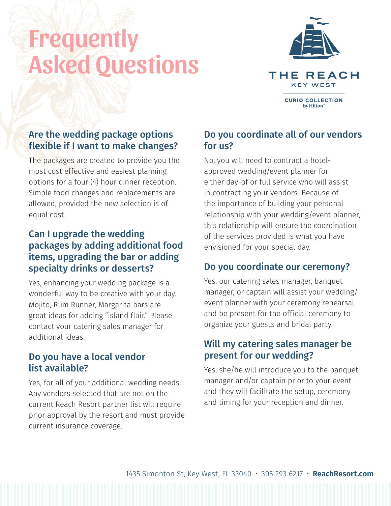# Frequently Asked Questions



# Are the wedding package options flexible if I want to make changes?

The packages are created to provide you the most cost effective and easiest planning options for a four (4) hour dinner reception. Simple food changes and replacements are allowed, provided the new selection is of equal cost.

# Can I upgrade the wedding packages by adding additional food items, upgrading the bar or adding specialty drinks or desserts?

Yes, enhancing your wedding package is a wonderful way to be creative with your day. Mojito, Rum Runner, Margarita bars are great ideas for adding "island flair." Please contact your catering sales manager for additional ideas.

#### Do you have a local vendor list availahle?

Yes, for all of your additional wedding needs. Any vendors selected that are not on the current Reach Resort partner list will require prior approval by the resort and must provide current insurance coverage.

#### Do you coordinate all of our vendors for us?

No, you will need to contract a hotelapproved wedding/event planner for either day-of or full service who will assist in contracting your vendors. Because of the importance of building your personal relationship with your wedding/event planner, this relationship will ensure the coordination of the services provided is what you have envisioned for your special day.

# Do you coordinate our ceremony?

Yes, our catering sales manager, banquet manager, or captain will assist your wedding/ event planner with your ceremony rehearsal and be present for the official ceremony to organize your guests and bridal party.

## Will my catering sales manager be present for our wedding?

Yes, she/he will introduce you to the banquet manager and/or captain prior to your event and they will facilitate the setup, ceremony and timing for your reception and dinner.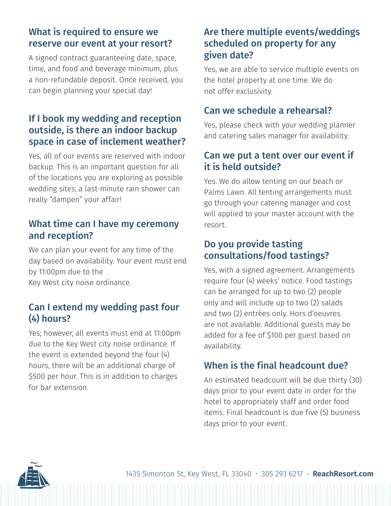## What is required to ensure we reserve our event at your resort?

A signed contract guaranteeing date, space, time, and food and beverage minimum, plus a non-refundable deposit. Once received, you can begin planning your special day!

## If I book my wedding and reception outside, is there an indoor backup space in case of inclement weather?

Yes, all of our events are reserved with indoor backup. This is an important question for all of the locations you are exploring as possible wedding sites; a last-minute rain shower can really "dampen" your affair!

#### What time can I have my ceremony and reception?

We can plan your event for any time of the day based on availability. Your event must end by 11:00pm due to the Key West city noise ordinance.

#### Can I extend my wedding past four (4) hours?

Yes; however, all events must end at 11:00pm due to the Key West city noise ordinance. If the event is extended beyond the four (4) hours, there will be an additional charge of \$500 per hour. This is in addition to charges for bar extension.

# Are there multiple events/weddings scheduled on property for any given date?

Yes, we are able to service multiple events on the hotel property at one time. We do not offer exclusivity.

#### Can we schedule a rehearsal?

Yes, please check with your wedding planner and catering sales manager for availability.

## Can we put a tent over our event if it is held outside?

Yes. We do allow tenting on our beach or Palms Lawn. All tenting arrangements must go through your catering manager and cost will applied to your master account with the resort.

## Do you provide tasting consultations/food tastings?

Yes, with a signed agreement. Arrangements require four (4) weeks' notice. Food tastings can be arranged for up to two (2) people only and will include up to two (2) salads and two (2) entrées only. Hors d'oeuvres are not available. Additional guests may be added for a fee of \$100 per guest based on availability.

# When is the final headcount due?

An estimated headcount will be due thirty (30) days prior to your event date in order for the hotel to appropriately staff and order food items. Final headcount is due five (5) business days prior to your event.

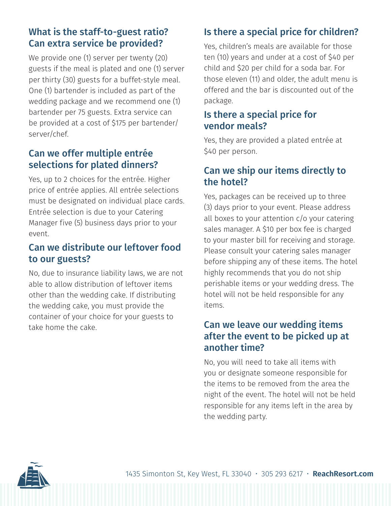# What is the staff-to-guest ratio? Can extra service be provided?

We provide one (1) server per twenty (20) guests if the meal is plated and one (1) server per thirty (30) guests for a buffet-style meal. One (1) bartender is included as part of the wedding package and we recommend one (1) bartender per 75 guests. Extra service can be provided at a cost of \$175 per bartender/ server/chef.

#### Can we offer multiple entrée selections for plated dinners?

Yes, up to 2 choices for the entrée. Higher price of entrée applies. All entrée selections must be designated on individual place cards. Entrée selection is due to your Catering Manager five (5) business days prior to your event.

# Can we distribute our leftover food to our guests?

No, due to insurance liability laws, we are not able to allow distribution of leftover items other than the wedding cake. If distributing the wedding cake, you must provide the container of your choice for your guests to take home the cake.

# Is there a special price for children?

Yes, children's meals are available for those ten (10) years and under at a cost of \$40 per child and \$20 per child for a soda bar. For those eleven (11) and older, the adult menu is offered and the bar is discounted out of the package.

#### Is there a special price for vendor meals?

Yes, they are provided a plated entrée at \$40 per person.

# Can we ship our items directly to the hotel?

Yes, packages can be received up to three (3) days prior to your event. Please address all boxes to your attention c/o your catering sales manager. A \$10 per box fee is charged to your master bill for receiving and storage. Please consult your catering sales manager before shipping any of these items. The hotel highly recommends that you do not ship perishable items or your wedding dress. The hotel will not be held responsible for any items.

#### Can we leave our wedding items after the event to be picked up at another time?

No, you will need to take all items with you or designate someone responsible for the items to be removed from the area the night of the event. The hotel will not be held responsible for any items left in the area by the wedding party.

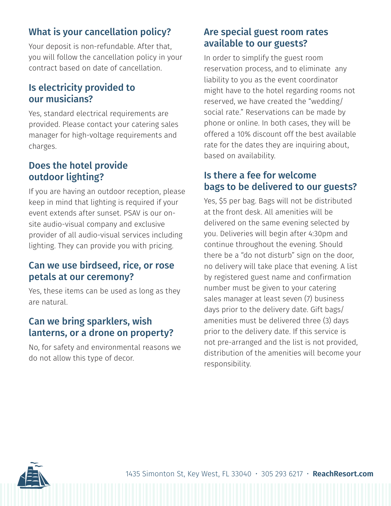# What is your cancellation policy?

Your deposit is non-refundable. After that, you will follow the cancellation policy in your contract based on date of cancellation.

# Is electricity provided to our musicians?

Yes, standard electrical requirements are provided. Please contact your catering sales manager for high-voltage requirements and charges.

# Does the hotel provide outdoor lighting?

If you are having an outdoor reception, please keep in mind that lighting is required if your event extends after sunset. PSAV is our onsite audio-visual company and exclusive provider of all audio-visual services including lighting. They can provide you with pricing.

# Can we use birdseed, rice, or rose petals at our ceremony?

Yes, these items can be used as long as they are natural.

# Can we bring sparklers, wish lanterns, or a drone on property?

No, for safety and environmental reasons we do not allow this type of decor.

# Are special guest room rates available to our guests?

In order to simplify the guest room reservation process, and to eliminate any liability to you as the event coordinator might have to the hotel regarding rooms not reserved, we have created the "wedding/ social rate." Reservations can be made by phone or online. In both cases, they will be offered a 10% discount off the best available rate for the dates they are inquiring about, based on availability.

# Is there a fee for welcome bags to be delivered to our guests?

Yes, \$5 per bag. Bags will not be distributed at the front desk. All amenities will be delivered on the same evening selected by you. Deliveries will begin after 4:30pm and continue throughout the evening. Should there be a "do not disturb" sign on the door, no delivery will take place that evening. A list by registered guest name and confirmation number must be given to your catering sales manager at least seven (7) business days prior to the delivery date. Gift bags/ amenities must be delivered three (3) days prior to the delivery date. If this service is not pre-arranged and the list is not provided, distribution of the amenities will become your responsibility.